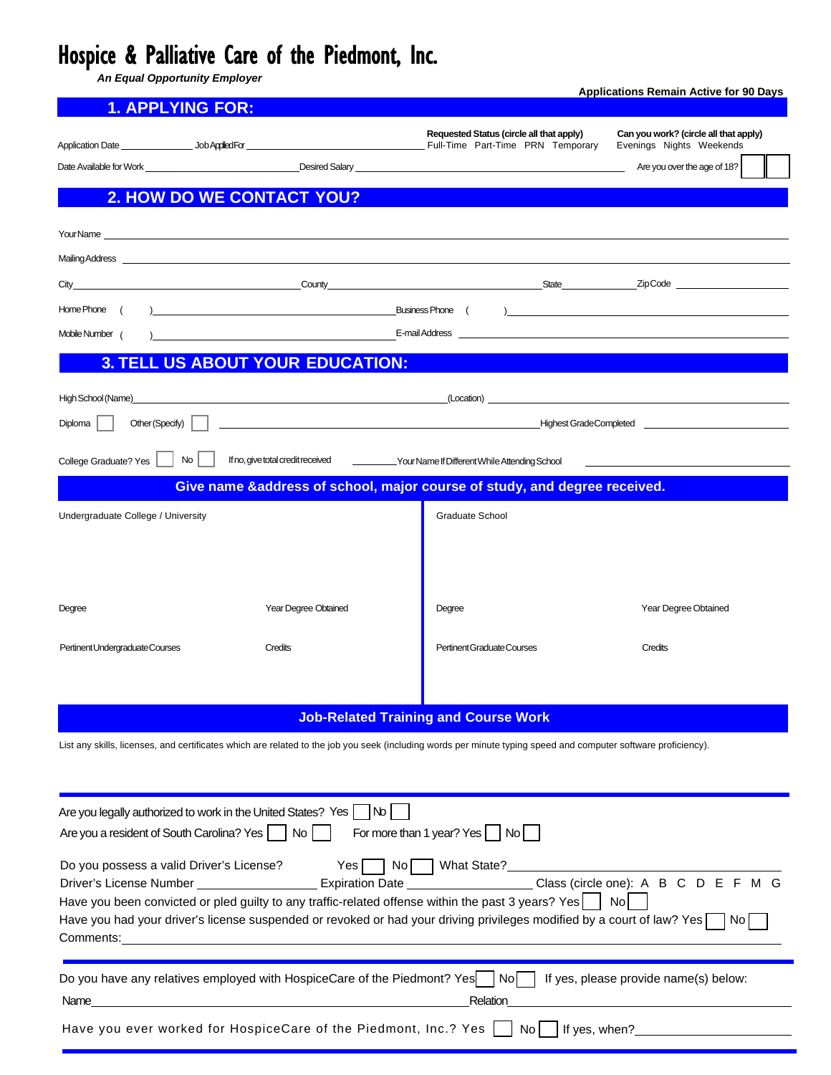## Hospice & Palliative Care of the Piedmont, Inc.

*An Equal Opportunity Employer*

|                                                                                                                                                                                                                                         | <u>1. APPLYING FOR:</u>                                                                                                                                                                                                                                                                     |                                                                                                                                                                                                                                |                                                                                                                                                                                                                                      |                                                                   |  |  |  |  |
|-----------------------------------------------------------------------------------------------------------------------------------------------------------------------------------------------------------------------------------------|---------------------------------------------------------------------------------------------------------------------------------------------------------------------------------------------------------------------------------------------------------------------------------------------|--------------------------------------------------------------------------------------------------------------------------------------------------------------------------------------------------------------------------------|--------------------------------------------------------------------------------------------------------------------------------------------------------------------------------------------------------------------------------------|-------------------------------------------------------------------|--|--|--|--|
|                                                                                                                                                                                                                                         |                                                                                                                                                                                                                                                                                             |                                                                                                                                                                                                                                | Requested Status (circle all that apply)                                                                                                                                                                                             | Can you work? (circle all that apply)<br>Evenings Nights Weekends |  |  |  |  |
|                                                                                                                                                                                                                                         |                                                                                                                                                                                                                                                                                             |                                                                                                                                                                                                                                | Date Available for Work <u>Charles Community Construction of the Construction of the Construction of the Construction of the Construction of the Construction of the Construction of the Construction of the Construction of the</u> | Are you over the age of 18?                                       |  |  |  |  |
|                                                                                                                                                                                                                                         | 2. HOW DO WE CONTACT YOU?                                                                                                                                                                                                                                                                   |                                                                                                                                                                                                                                |                                                                                                                                                                                                                                      |                                                                   |  |  |  |  |
|                                                                                                                                                                                                                                         |                                                                                                                                                                                                                                                                                             |                                                                                                                                                                                                                                |                                                                                                                                                                                                                                      |                                                                   |  |  |  |  |
|                                                                                                                                                                                                                                         |                                                                                                                                                                                                                                                                                             | Mailing Address contract to the contract of the contract of the contract of the contract of the contract of the contract of the contract of the contract of the contract of the contract of the contract of the contract of th |                                                                                                                                                                                                                                      |                                                                   |  |  |  |  |
|                                                                                                                                                                                                                                         |                                                                                                                                                                                                                                                                                             |                                                                                                                                                                                                                                |                                                                                                                                                                                                                                      |                                                                   |  |  |  |  |
|                                                                                                                                                                                                                                         |                                                                                                                                                                                                                                                                                             |                                                                                                                                                                                                                                |                                                                                                                                                                                                                                      |                                                                   |  |  |  |  |
| Mobile Number (                                                                                                                                                                                                                         | $E$ -mail Address $\frac{1}{2}$ and $\frac{1}{2}$ and $\frac{1}{2}$ and $\frac{1}{2}$ and $\frac{1}{2}$ and $\frac{1}{2}$ and $\frac{1}{2}$ and $\frac{1}{2}$ and $\frac{1}{2}$ and $\frac{1}{2}$ and $\frac{1}{2}$ and $\frac{1}{2}$ and $\frac{1}{2}$ and $\frac{1}{2}$ and $\frac{1}{2}$ |                                                                                                                                                                                                                                |                                                                                                                                                                                                                                      |                                                                   |  |  |  |  |
| <b>3. TELL US ABOUT YOUR EDUCATION:</b>                                                                                                                                                                                                 |                                                                                                                                                                                                                                                                                             |                                                                                                                                                                                                                                |                                                                                                                                                                                                                                      |                                                                   |  |  |  |  |
|                                                                                                                                                                                                                                         |                                                                                                                                                                                                                                                                                             |                                                                                                                                                                                                                                |                                                                                                                                                                                                                                      |                                                                   |  |  |  |  |
| Diploma                                                                                                                                                                                                                                 |                                                                                                                                                                                                                                                                                             |                                                                                                                                                                                                                                |                                                                                                                                                                                                                                      |                                                                   |  |  |  |  |
| $\mathsf{No}$                                                                                                                                                                                                                           |                                                                                                                                                                                                                                                                                             |                                                                                                                                                                                                                                |                                                                                                                                                                                                                                      |                                                                   |  |  |  |  |
| If no, give total credit received _____________Your Name If Different While Attending School<br>College Graduate? Yes<br>Give name &address of school, major course of study, and degree received.                                      |                                                                                                                                                                                                                                                                                             |                                                                                                                                                                                                                                |                                                                                                                                                                                                                                      |                                                                   |  |  |  |  |
| Undergraduate College / University                                                                                                                                                                                                      |                                                                                                                                                                                                                                                                                             |                                                                                                                                                                                                                                | Graduate School                                                                                                                                                                                                                      |                                                                   |  |  |  |  |
|                                                                                                                                                                                                                                         |                                                                                                                                                                                                                                                                                             |                                                                                                                                                                                                                                |                                                                                                                                                                                                                                      |                                                                   |  |  |  |  |
|                                                                                                                                                                                                                                         |                                                                                                                                                                                                                                                                                             |                                                                                                                                                                                                                                |                                                                                                                                                                                                                                      |                                                                   |  |  |  |  |
|                                                                                                                                                                                                                                         |                                                                                                                                                                                                                                                                                             |                                                                                                                                                                                                                                |                                                                                                                                                                                                                                      |                                                                   |  |  |  |  |
| Degree                                                                                                                                                                                                                                  |                                                                                                                                                                                                                                                                                             | Year Degree Obtained                                                                                                                                                                                                           | Degree                                                                                                                                                                                                                               | Year Degree Obtained                                              |  |  |  |  |
| Pertinent Undergraduate Courses                                                                                                                                                                                                         |                                                                                                                                                                                                                                                                                             | Credits                                                                                                                                                                                                                        | Pertinent Graduate Courses                                                                                                                                                                                                           | Credits                                                           |  |  |  |  |
|                                                                                                                                                                                                                                         |                                                                                                                                                                                                                                                                                             |                                                                                                                                                                                                                                |                                                                                                                                                                                                                                      |                                                                   |  |  |  |  |
|                                                                                                                                                                                                                                         |                                                                                                                                                                                                                                                                                             |                                                                                                                                                                                                                                |                                                                                                                                                                                                                                      |                                                                   |  |  |  |  |
|                                                                                                                                                                                                                                         |                                                                                                                                                                                                                                                                                             |                                                                                                                                                                                                                                | <b>Job-Related Training and Course Work</b>                                                                                                                                                                                          |                                                                   |  |  |  |  |
|                                                                                                                                                                                                                                         |                                                                                                                                                                                                                                                                                             |                                                                                                                                                                                                                                | List any skills, licenses, and certificates which are related to the job you seek (including words per minute typing speed and computer software proficiency).                                                                       |                                                                   |  |  |  |  |
|                                                                                                                                                                                                                                         |                                                                                                                                                                                                                                                                                             |                                                                                                                                                                                                                                |                                                                                                                                                                                                                                      |                                                                   |  |  |  |  |
|                                                                                                                                                                                                                                         |                                                                                                                                                                                                                                                                                             |                                                                                                                                                                                                                                |                                                                                                                                                                                                                                      |                                                                   |  |  |  |  |
| Are you a resident of South Carolina? Yes   No                                                                                                                                                                                          |                                                                                                                                                                                                                                                                                             | Are you legally authorized to work in the United States? Yes   No                                                                                                                                                              | For more than 1 year? Yes $ $ $ $ No $ $                                                                                                                                                                                             |                                                                   |  |  |  |  |
|                                                                                                                                                                                                                                         |                                                                                                                                                                                                                                                                                             |                                                                                                                                                                                                                                |                                                                                                                                                                                                                                      |                                                                   |  |  |  |  |
|                                                                                                                                                                                                                                         |                                                                                                                                                                                                                                                                                             |                                                                                                                                                                                                                                | Do you possess a valid Driver's License? Yes No No No What State?                                                                                                                                                                    |                                                                   |  |  |  |  |
| Driver's License Number _________________________ Expiration Date _____________________Class (circle one): A B C D E F M G<br>Have you been convicted or pled guilty to any traffic-related offense within the past 3 years? Yes $ $ No |                                                                                                                                                                                                                                                                                             |                                                                                                                                                                                                                                |                                                                                                                                                                                                                                      |                                                                   |  |  |  |  |
| Have you had your driver's license suspended or revoked or had your driving privileges modified by a court of law? Yes $\Box$ No                                                                                                        |                                                                                                                                                                                                                                                                                             |                                                                                                                                                                                                                                |                                                                                                                                                                                                                                      |                                                                   |  |  |  |  |
|                                                                                                                                                                                                                                         |                                                                                                                                                                                                                                                                                             |                                                                                                                                                                                                                                |                                                                                                                                                                                                                                      |                                                                   |  |  |  |  |
|                                                                                                                                                                                                                                         |                                                                                                                                                                                                                                                                                             |                                                                                                                                                                                                                                | Do you have any relatives employed with HospiceCare of the Piedmont? Yes   No   If yes, please provide name(s) below:                                                                                                                |                                                                   |  |  |  |  |
| Relation                                                                                                                                                                                                                                |                                                                                                                                                                                                                                                                                             |                                                                                                                                                                                                                                |                                                                                                                                                                                                                                      |                                                                   |  |  |  |  |
|                                                                                                                                                                                                                                         |                                                                                                                                                                                                                                                                                             |                                                                                                                                                                                                                                | Have you ever worked for HospiceCare of the Piedmont, Inc.? Yes     No    If yes, when?                                                                                                                                              |                                                                   |  |  |  |  |